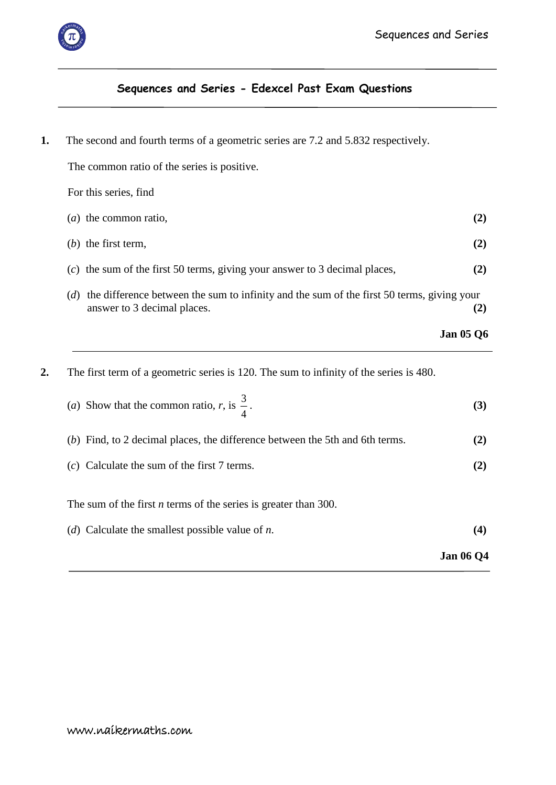

## **Sequences and Series - Edexcel Past Exam Questions**

**1.** The second and fourth terms of a geometric series are 7.2 and 5.832 respectively.

 The common ratio of the series is positive. For this series, find (*a*) the common ratio, **(2)** (*b*) the first term, **(2)** (*c*) the sum of the first 50 terms, giving your answer to 3 decimal places, **(2)** (*d*) the difference between the sum to infinity and the sum of the first 50 terms, giving your answer to 3 decimal places. **(2)**

| <b>Jan 05 Q6</b> |  |  |
|------------------|--|--|
|------------------|--|--|

**2.** The first term of a geometric series is 120. The sum to infinity of the series is 480.

| (a) Show that the common ratio, r, is $\frac{3}{4}$ . |  |
|-------------------------------------------------------|--|
|                                                       |  |

| (b) Find, to 2 decimal places, the difference between the 5th and 6th terms. | (2) |
|------------------------------------------------------------------------------|-----|
| $(c)$ Calculate the sum of the first 7 terms.                                |     |

The sum of the first *n* terms of the series is greater than 300.

- (*d*) Calculate the smallest possible value of *n*. **(4)**
	- **Jan 06 Q4**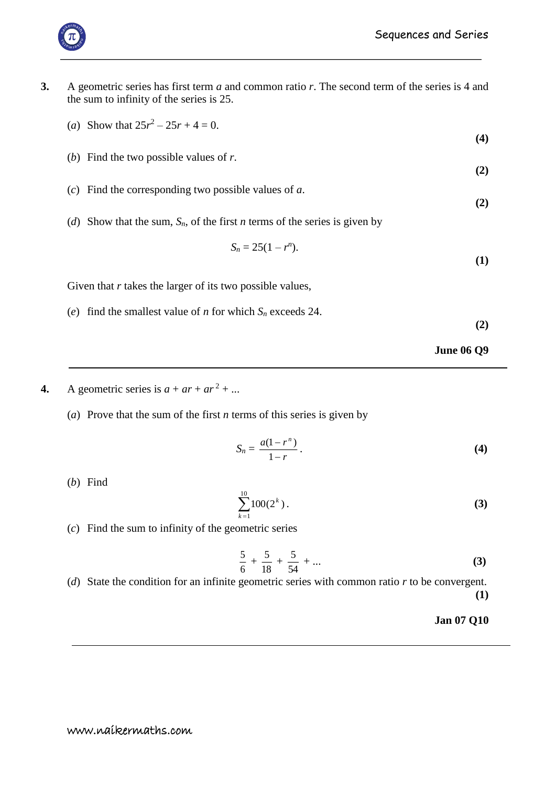

- **3.** A geometric series has first term *a* and common ratio *r*. The second term of the series is 4 and the sum to infinity of the series is 25.
	- (*a*) Show that  $25r^2 25r + 4 = 0$ .
	- (*b*) Find the two possible values of *r*. **(2)**
	- (*c*) Find the corresponding two possible values of *a*.
	- (*d*) Show that the sum, *Sn*, of the first *n* terms of the series is given by

$$
S_n=25(1-r^n).
$$

Given that *r* takes the larger of its two possible values,

(*e*) find the smallest value of *n* for which  $S_n$  exceeds 24.

**(2)**

**(4)**

**(2)**

**(1)**

**June 06 Q9**

- **4.** A geometric series is  $a + ar + ar^2 + ...$ 
	- (*a*) Prove that the sum of the first *n* terms of this series is given by

$$
S_n = \frac{a(1-r^n)}{1-r} \,. \tag{4}
$$

(*b*) Find

$$
\sum_{k=1}^{10} 100(2^k).
$$
 (3)

(*c*) Find the sum to infinity of the geometric series

$$
\frac{5}{6} + \frac{5}{18} + \frac{5}{54} + \dots
$$
 (3)

(*d*) State the condition for an infinite geometric series with common ratio *r* to be convergent. **(1)**

## **Jan 07 Q10**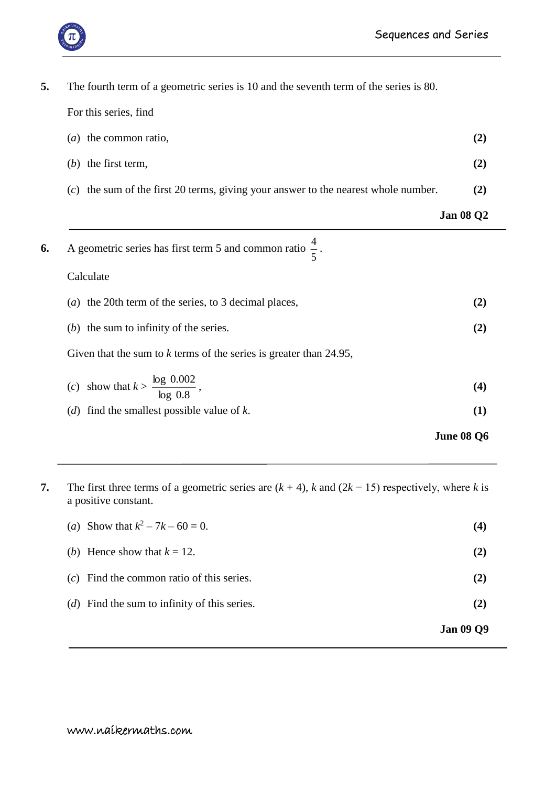

| 5. | The fourth term of a geometric series is 10 and the seventh term of the series is 80. |                   |
|----|---------------------------------------------------------------------------------------|-------------------|
|    | For this series, find                                                                 |                   |
|    | $(a)$ the common ratio,                                                               | (2)               |
|    | $(b)$ the first term,                                                                 | (2)               |
|    | $(c)$ the sum of the first 20 terms, giving your answer to the nearest whole number.  | (2)               |
|    |                                                                                       | <b>Jan 08 Q2</b>  |
| 6. | A geometric series has first term 5 and common ratio $\frac{4}{5}$ .                  |                   |
|    | Calculate                                                                             |                   |
|    | (a) the 20th term of the series, to 3 decimal places,                                 | (2)               |
|    | $(b)$ the sum to infinity of the series.                                              | (2)               |
|    | Given that the sum to $k$ terms of the series is greater than 24.95,                  |                   |
|    | (c) show that $k > \frac{\log 0.002}{\log 0.8}$ ,                                     | (4)               |
|    | (d) find the smallest possible value of $k$ .                                         | (1)               |
|    |                                                                                       | <b>June 08 Q6</b> |

**7.** The first three terms of a geometric series are  $(k + 4)$ , *k* and  $(2k - 15)$  respectively, where *k* is a positive constant.

|                                                       | <b>Jan 09 Q9</b> |
|-------------------------------------------------------|------------------|
| ( <i>d</i> ) Find the sum to infinity of this series. | (2)              |
| $(c)$ Find the common ratio of this series.           | (2)              |
| (b) Hence show that $k = 12$ .                        | (2)              |
| (a) Show that $k^2 - 7k - 60 = 0$ .                   | (4)              |